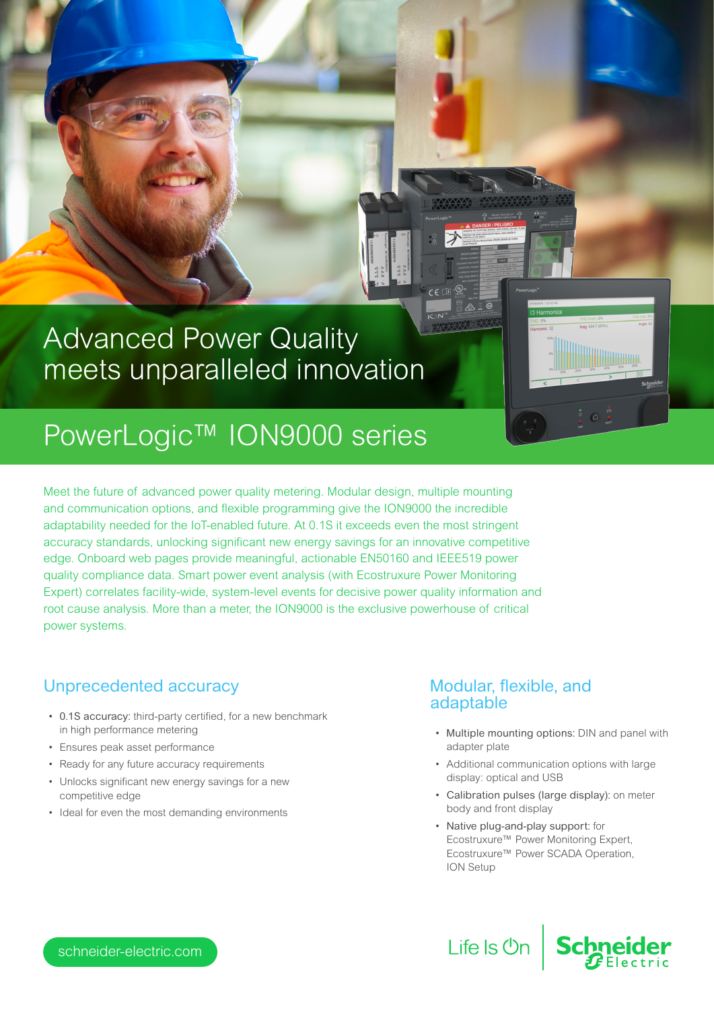## Advanced Power Quality meets unparalleled innovation

# PowerLogic™ ION9000 series

Meet the future of advanced power quality metering. Modular design, multiple mounting and communication options, and flexible programming give the ION9000 the incredible adaptability needed for the IoT-enabled future. At 0.1S it exceeds even the most stringent accuracy standards, unlocking significant new energy savings for an innovative competitive edge. Onboard web pages provide meaningful, actionable EN50160 and IEEE519 power quality compliance data. Smart power event analysis (with Ecostruxure Power Monitoring Expert) correlates facility-wide, system-level events for decisive power quality information and root cause analysis. More than a meter, the ION9000 is the exclusive powerhouse of critical power systems.

## Unprecedented accuracy

- 0.1S accuracy: third-party certified, for a new benchmark in high performance metering
- Ensures peak asset performance
- Ready for any future accuracy requirements
- Unlocks significant new energy savings for a new competitive edge
- Ideal for even the most demanding environments

## Modular, flexible, and adaptable

• Multiple mounting options: DIN and panel with adapter plate

- Additional communication options with large display: optical and USB
- Calibration pulses (large display): on meter body and front display

**Schne** 

• Native plug-and-play support: for Ecostruxure™ Power Monitoring Expert, Ecostruxure™ Power SCADA Operation, ION Setup

Life Is **Un** 

schneider-electric.com